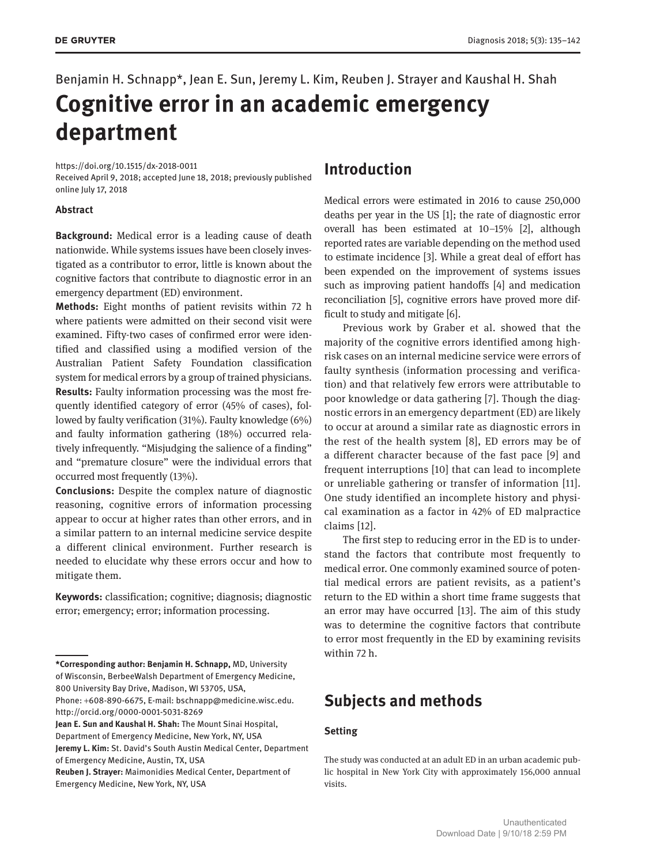# Benjamin H. Schnapp\*, Jean E. Sun, Jeremy L. Kim, Reuben J. Strayer and Kaushal H. Shah

## **Cognitive error in an academic emergency department**

https://doi.org/10.1515/dx-2018-0011

Received April 9, 2018; accepted June 18, 2018; previously published online July 17, 2018

#### **Abstract**

**Background:** Medical error is a leading cause of death nationwide. While systems issues have been closely investigated as a contributor to error, little is known about the cognitive factors that contribute to diagnostic error in an emergency department (ED) environment.

**Methods:** Eight months of patient revisits within 72 h where patients were admitted on their second visit were examined. Fifty-two cases of confirmed error were identified and classified using a modified version of the Australian Patient Safety Foundation classification system for medical errors by a group of trained physicians. **Results:** Faulty information processing was the most frequently identified category of error (45% of cases), followed by faulty verification (31%). Faulty knowledge (6%) and faulty information gathering (18%) occurred relatively infrequently. "Misjudging the salience of a finding" and "premature closure" were the individual errors that occurred most frequently (13%).

**Conclusions:** Despite the complex nature of diagnostic reasoning, cognitive errors of information processing appear to occur at higher rates than other errors, and in a similar pattern to an internal medicine service despite a different clinical environment. Further research is needed to elucidate why these errors occur and how to mitigate them.

**Keywords:** classification; cognitive; diagnosis; diagnostic error; emergency; error; information processing.

of Emergency Medicine, Austin, TX, USA

### **Introduction**

Medical errors were estimated in 2016 to cause 250,000 deaths per year in the US [1]; the rate of diagnostic error overall has been estimated at 10–15% [2], although reported rates are variable depending on the method used to estimate incidence [3]. While a great deal of effort has been expended on the improvement of systems issues such as improving patient handoffs [4] and medication reconciliation [5], cognitive errors have proved more difficult to study and mitigate [6].

Previous work by Graber et al. showed that the majority of the cognitive errors identified among highrisk cases on an internal medicine service were errors of faulty synthesis (information processing and verification) and that relatively few errors were attributable to poor knowledge or data gathering [7]. Though the diagnostic errors in an emergency department (ED) are likely to occur at around a similar rate as diagnostic errors in the rest of the health system [8], ED errors may be of a different character because of the fast pace [9] and frequent interruptions [10] that can lead to incomplete or unreliable gathering or transfer of information [11]. One study identified an incomplete history and physical examination as a factor in 42% of ED malpractice claims [12].

The first step to reducing error in the ED is to understand the factors that contribute most frequently to medical error. One commonly examined source of potential medical errors are patient revisits, as a patient's return to the ED within a short time frame suggests that an error may have occurred [13]. The aim of this study was to determine the cognitive factors that contribute to error most frequently in the ED by examining revisits within 72 h.

### **Subjects and methods**

### **Setting**

The study was conducted at an adult ED in an urban academic public hospital in New York City with approximately 156,000 annual visits.

**<sup>\*</sup>Corresponding author: Benjamin H. Schnapp,** MD, University of Wisconsin, BerbeeWalsh Department of Emergency Medicine, 800 University Bay Drive, Madison, WI 53705, USA,

Phone: +608-890-6675, E-mail: bschnapp@medicine.wisc.edu. http://orcid.org/0000-0001-5031-8269

**Jean E. Sun and Kaushal H. Shah:** The Mount Sinai Hospital, Department of Emergency Medicine, New York, NY, USA **Jeremy L. Kim:** St. David's South Austin Medical Center, Department

**Reuben J. Strayer:** Maimonidies Medical Center, Department of Emergency Medicine, New York, NY, USA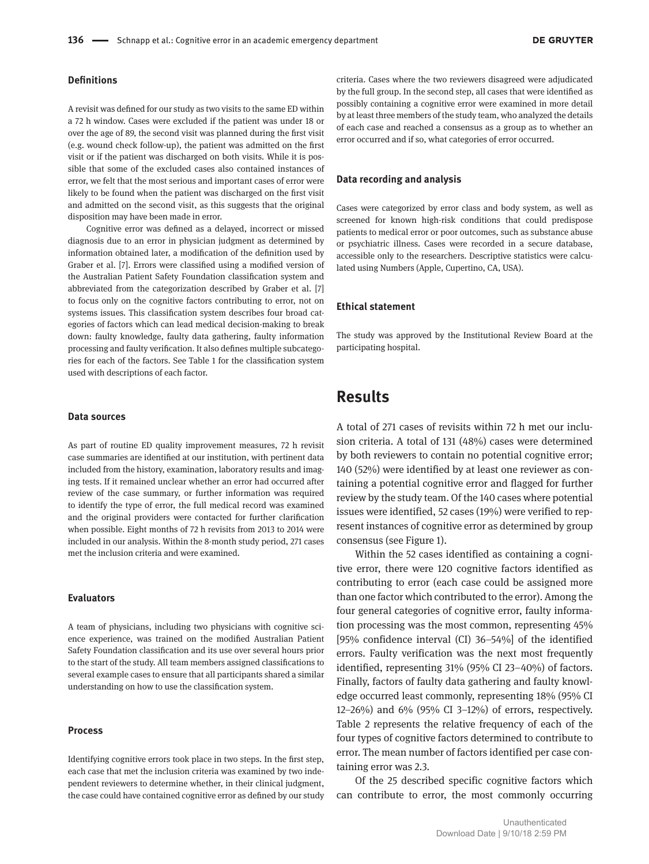#### **Definitions**

A revisit was defined for our study as two visits to the same ED within a 72 h window. Cases were excluded if the patient was under 18 or over the age of 89, the second visit was planned during the first visit (e.g. wound check follow-up), the patient was admitted on the first visit or if the patient was discharged on both visits. While it is possible that some of the excluded cases also contained instances of error, we felt that the most serious and important cases of error were likely to be found when the patient was discharged on the first visit and admitted on the second visit, as this suggests that the original disposition may have been made in error.

Cognitive error was defined as a delayed, incorrect or missed diagnosis due to an error in physician judgment as determined by information obtained later, a modification of the definition used by Graber et al. [7]. Errors were classified using a modified version of the Australian Patient Safety Foundation classification system and abbreviated from the categorization described by Graber et al. [7] to focus only on the cognitive factors contributing to error, not on systems issues. This classification system describes four broad categories of factors which can lead medical decision-making to break down: faulty knowledge, faulty data gathering, faulty information processing and faulty verification. It also defines multiple subcategories for each of the factors. See Table 1 for the classification system used with descriptions of each factor.

#### **Data sources**

As part of routine ED quality improvement measures, 72 h revisit case summaries are identified at our institution, with pertinent data included from the history, examination, laboratory results and imaging tests. If it remained unclear whether an error had occurred after review of the case summary, or further information was required to identify the type of error, the full medical record was examined and the original providers were contacted for further clarification when possible. Eight months of 72 h revisits from 2013 to 2014 were included in our analysis. Within the 8-month study period, 271 cases met the inclusion criteria and were examined.

#### **Evaluators**

A team of physicians, including two physicians with cognitive science experience, was trained on the modified Australian Patient Safety Foundation classification and its use over several hours prior to the start of the study. All team members assigned classifications to several example cases to ensure that all participants shared a similar understanding on how to use the classification system.

#### **Process**

Identifying cognitive errors took place in two steps. In the first step, each case that met the inclusion criteria was examined by two independent reviewers to determine whether, in their clinical judgment, the case could have contained cognitive error as defined by our study

criteria. Cases where the two reviewers disagreed were adjudicated by the full group. In the second step, all cases that were identified as possibly containing a cognitive error were examined in more detail by at least three members of the study team, who analyzed the details of each case and reached a consensus as a group as to whether an error occurred and if so, what categories of error occurred.

#### **Data recording and analysis**

Cases were categorized by error class and body system, as well as screened for known high-risk conditions that could predispose patients to medical error or poor outcomes, such as substance abuse or psychiatric illness. Cases were recorded in a secure database, accessible only to the researchers. Descriptive statistics were calculated using Numbers (Apple, Cupertino, CA, USA).

#### **Ethical statement**

The study was approved by the Institutional Review Board at the participating hospital.

### **Results**

A total of 271 cases of revisits within 72 h met our inclusion criteria. A total of 131 (48%) cases were determined by both reviewers to contain no potential cognitive error; 140 (52%) were identified by at least one reviewer as containing a potential cognitive error and flagged for further review by the study team. Of the 140 cases where potential issues were identified, 52 cases (19%) were verified to represent instances of cognitive error as determined by group consensus (see Figure 1).

Within the 52 cases identified as containing a cognitive error, there were 120 cognitive factors identified as contributing to error (each case could be assigned more than one factor which contributed to the error). Among the four general categories of cognitive error, faulty information processing was the most common, representing 45% [95% confidence interval (CI) 36–54%] of the identified errors. Faulty verification was the next most frequently identified, representing 31% (95% CI 23–40%) of factors. Finally, factors of faulty data gathering and faulty knowledge occurred least commonly, representing 18% (95% CI 12–26%) and 6% (95% CI 3–12%) of errors, respectively. Table 2 represents the relative frequency of each of the four types of cognitive factors determined to contribute to error. The mean number of factors identified per case containing error was 2.3.

Of the 25 described specific cognitive factors which can contribute to error, the most commonly occurring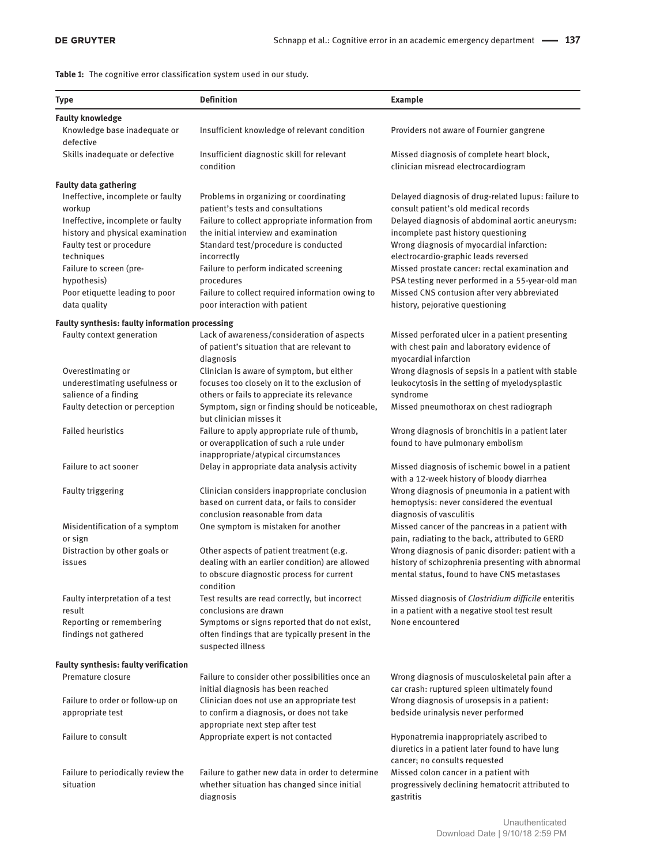**Table 1:** The cognitive error classification system used in our study.

| <b>Type</b>                                                                                                                                                                                                                                | <b>Definition</b>                                                                                                                                                                                                                                                                                                                          | <b>Example</b>                                                                                                                                                                                                                                                                                                                                                                                                                   |
|--------------------------------------------------------------------------------------------------------------------------------------------------------------------------------------------------------------------------------------------|--------------------------------------------------------------------------------------------------------------------------------------------------------------------------------------------------------------------------------------------------------------------------------------------------------------------------------------------|----------------------------------------------------------------------------------------------------------------------------------------------------------------------------------------------------------------------------------------------------------------------------------------------------------------------------------------------------------------------------------------------------------------------------------|
| <b>Faulty knowledge</b>                                                                                                                                                                                                                    |                                                                                                                                                                                                                                                                                                                                            |                                                                                                                                                                                                                                                                                                                                                                                                                                  |
| Knowledge base inadequate or<br>defective                                                                                                                                                                                                  | Insufficient knowledge of relevant condition                                                                                                                                                                                                                                                                                               | Providers not aware of Fournier gangrene                                                                                                                                                                                                                                                                                                                                                                                         |
| Skills inadequate or defective                                                                                                                                                                                                             | Insufficient diagnostic skill for relevant<br>condition                                                                                                                                                                                                                                                                                    | Missed diagnosis of complete heart block,<br>clinician misread electrocardiogram                                                                                                                                                                                                                                                                                                                                                 |
| <b>Faulty data gathering</b>                                                                                                                                                                                                               |                                                                                                                                                                                                                                                                                                                                            |                                                                                                                                                                                                                                                                                                                                                                                                                                  |
| Ineffective, incomplete or faulty<br>workup<br>Ineffective, incomplete or faulty<br>history and physical examination<br>Faulty test or procedure<br>techniques<br>Failure to screen (pre-<br>hypothesis)<br>Poor etiquette leading to poor | Problems in organizing or coordinating<br>patient's tests and consultations<br>Failure to collect appropriate information from<br>the initial interview and examination<br>Standard test/procedure is conducted<br>incorrectly<br>Failure to perform indicated screening<br>procedures<br>Failure to collect required information owing to | Delayed diagnosis of drug-related lupus: failure to<br>consult patient's old medical records<br>Delayed diagnosis of abdominal aortic aneurysm:<br>incomplete past history questioning<br>Wrong diagnosis of myocardial infarction:<br>electrocardio-graphic leads reversed<br>Missed prostate cancer: rectal examination and<br>PSA testing never performed in a 55-year-old man<br>Missed CNS contusion after very abbreviated |
| data quality                                                                                                                                                                                                                               | poor interaction with patient                                                                                                                                                                                                                                                                                                              | history, pejorative questioning                                                                                                                                                                                                                                                                                                                                                                                                  |
|                                                                                                                                                                                                                                            |                                                                                                                                                                                                                                                                                                                                            |                                                                                                                                                                                                                                                                                                                                                                                                                                  |
| Faulty synthesis: faulty information processing<br>Faulty context generation                                                                                                                                                               | Lack of awareness/consideration of aspects<br>of patient's situation that are relevant to<br>diagnosis                                                                                                                                                                                                                                     | Missed perforated ulcer in a patient presenting<br>with chest pain and laboratory evidence of<br>myocardial infarction                                                                                                                                                                                                                                                                                                           |
| Overestimating or                                                                                                                                                                                                                          | Clinician is aware of symptom, but either                                                                                                                                                                                                                                                                                                  | Wrong diagnosis of sepsis in a patient with stable                                                                                                                                                                                                                                                                                                                                                                               |
| underestimating usefulness or<br>salience of a finding                                                                                                                                                                                     | focuses too closely on it to the exclusion of<br>others or fails to appreciate its relevance                                                                                                                                                                                                                                               | leukocytosis in the setting of myelodysplastic<br>syndrome                                                                                                                                                                                                                                                                                                                                                                       |
| Faulty detection or perception                                                                                                                                                                                                             | Symptom, sign or finding should be noticeable,<br>but clinician misses it                                                                                                                                                                                                                                                                  | Missed pneumothorax on chest radiograph                                                                                                                                                                                                                                                                                                                                                                                          |
| <b>Failed heuristics</b>                                                                                                                                                                                                                   | Failure to apply appropriate rule of thumb,<br>or overapplication of such a rule under<br>inappropriate/atypical circumstances                                                                                                                                                                                                             | Wrong diagnosis of bronchitis in a patient later<br>found to have pulmonary embolism                                                                                                                                                                                                                                                                                                                                             |
| Failure to act sooner                                                                                                                                                                                                                      | Delay in appropriate data analysis activity                                                                                                                                                                                                                                                                                                | Missed diagnosis of ischemic bowel in a patient<br>with a 12-week history of bloody diarrhea                                                                                                                                                                                                                                                                                                                                     |
| <b>Faulty triggering</b>                                                                                                                                                                                                                   | Clinician considers inappropriate conclusion<br>based on current data, or fails to consider<br>conclusion reasonable from data                                                                                                                                                                                                             | Wrong diagnosis of pneumonia in a patient with<br>hemoptysis: never considered the eventual<br>diagnosis of vasculitis                                                                                                                                                                                                                                                                                                           |
| Misidentification of a symptom<br>or sign                                                                                                                                                                                                  | One symptom is mistaken for another                                                                                                                                                                                                                                                                                                        | Missed cancer of the pancreas in a patient with<br>pain, radiating to the back, attributed to GERD                                                                                                                                                                                                                                                                                                                               |
| Distraction by other goals or<br>issues                                                                                                                                                                                                    | Other aspects of patient treatment (e.g.<br>dealing with an earlier condition) are allowed<br>to obscure diagnostic process for current<br>condition                                                                                                                                                                                       | Wrong diagnosis of panic disorder: patient with a<br>history of schizophrenia presenting with abnormal<br>mental status, found to have CNS metastases                                                                                                                                                                                                                                                                            |
| Faulty interpretation of a test<br>result                                                                                                                                                                                                  | Test results are read correctly, but incorrect<br>conclusions are drawn                                                                                                                                                                                                                                                                    | Missed diagnosis of Clostridium difficile enteritis<br>in a patient with a negative stool test result                                                                                                                                                                                                                                                                                                                            |
| Reporting or remembering<br>findings not gathered                                                                                                                                                                                          | Symptoms or signs reported that do not exist,<br>often findings that are typically present in the<br>suspected illness                                                                                                                                                                                                                     | None encountered                                                                                                                                                                                                                                                                                                                                                                                                                 |
| <b>Faulty synthesis: faulty verification</b>                                                                                                                                                                                               |                                                                                                                                                                                                                                                                                                                                            |                                                                                                                                                                                                                                                                                                                                                                                                                                  |
| Premature closure                                                                                                                                                                                                                          | Failure to consider other possibilities once an<br>initial diagnosis has been reached                                                                                                                                                                                                                                                      | Wrong diagnosis of musculoskeletal pain after a<br>car crash: ruptured spleen ultimately found                                                                                                                                                                                                                                                                                                                                   |
| Failure to order or follow-up on<br>appropriate test                                                                                                                                                                                       | Clinician does not use an appropriate test<br>to confirm a diagnosis, or does not take<br>appropriate next step after test                                                                                                                                                                                                                 | Wrong diagnosis of urosepsis in a patient:<br>bedside urinalysis never performed                                                                                                                                                                                                                                                                                                                                                 |
| <b>Failure to consult</b>                                                                                                                                                                                                                  | Appropriate expert is not contacted                                                                                                                                                                                                                                                                                                        | Hyponatremia inappropriately ascribed to<br>diuretics in a patient later found to have lung                                                                                                                                                                                                                                                                                                                                      |
| Failure to periodically review the<br>situation                                                                                                                                                                                            | Failure to gather new data in order to determine<br>whether situation has changed since initial<br>diagnosis                                                                                                                                                                                                                               | cancer; no consults requested<br>Missed colon cancer in a patient with<br>progressively declining hematocrit attributed to<br>gastritis                                                                                                                                                                                                                                                                                          |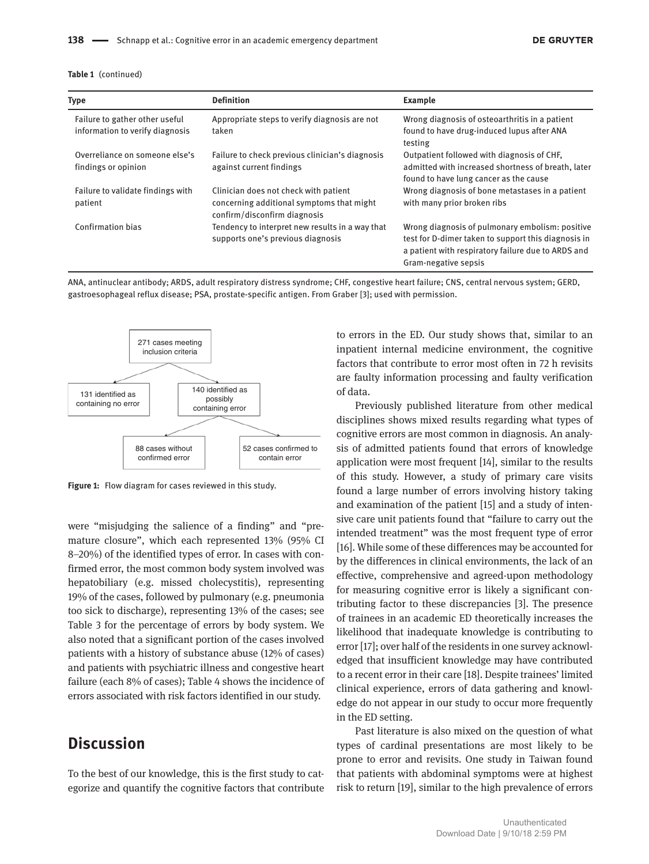| <b>Type</b>                                                       | <b>Definition</b>                                                         | <b>Example</b>                                                                                            |
|-------------------------------------------------------------------|---------------------------------------------------------------------------|-----------------------------------------------------------------------------------------------------------|
| Failure to gather other useful<br>information to verify diagnosis | Appropriate steps to verify diagnosis are not<br>taken                    | Wrong diagnosis of osteoarthritis in a patient<br>found to have drug-induced lupus after ANA              |
|                                                                   |                                                                           | testing                                                                                                   |
| Overreliance on someone else's                                    | Failure to check previous clinician's diagnosis                           | Outpatient followed with diagnosis of CHF.<br>admitted with increased shortness of breath, later          |
| findings or opinion                                               | against current findings                                                  | found to have lung cancer as the cause                                                                    |
| Failure to validate findings with                                 | Clinician does not check with patient                                     | Wrong diagnosis of bone metastases in a patient                                                           |
| patient                                                           | concerning additional symptoms that might<br>confirm/disconfirm diagnosis | with many prior broken ribs                                                                               |
| Confirmation bias                                                 | Tendency to interpret new results in a way that                           | Wrong diagnosis of pulmonary embolism: positive                                                           |
|                                                                   | supports one's previous diagnosis                                         | test for D-dimer taken to support this diagnosis in<br>a patient with respiratory failure due to ARDS and |
|                                                                   |                                                                           | Gram-negative sepsis                                                                                      |

ANA, antinuclear antibody; ARDS, adult respiratory distress syndrome; CHF, congestive heart failure; CNS, central nervous system; GERD, gastroesophageal reflux disease; PSA, prostate-specific antigen. From Graber [3]; used with permission.



**Figure 1:** Flow diagram for cases reviewed in this study.

were "misjudging the salience of a finding" and "premature closure", which each represented 13% (95% CI 8–20%) of the identified types of error. In cases with confirmed error, the most common body system involved was hepatobiliary (e.g. missed cholecystitis), representing 19% of the cases, followed by pulmonary (e.g. pneumonia too sick to discharge), representing 13% of the cases; see Table 3 for the percentage of errors by body system. We also noted that a significant portion of the cases involved patients with a history of substance abuse (12% of cases) and patients with psychiatric illness and congestive heart failure (each 8% of cases); Table 4 shows the incidence of errors associated with risk factors identified in our study.

### **Discussion**

To the best of our knowledge, this is the first study to categorize and quantify the cognitive factors that contribute

to errors in the ED. Our study shows that, similar to an inpatient internal medicine environment, the cognitive factors that contribute to error most often in 72 h revisits are faulty information processing and faulty verification of data.

Previously published literature from other medical disciplines shows mixed results regarding what types of cognitive errors are most common in diagnosis. An analysis of admitted patients found that errors of knowledge application were most frequent [14], similar to the results of this study. However, a study of primary care visits found a large number of errors involving history taking and examination of the patient [15] and a study of intensive care unit patients found that "failure to carry out the intended treatment" was the most frequent type of error [16]. While some of these differences may be accounted for by the differences in clinical environments, the lack of an effective, comprehensive and agreed-upon methodology for measuring cognitive error is likely a significant contributing factor to these discrepancies [3]. The presence of trainees in an academic ED theoretically increases the likelihood that inadequate knowledge is contributing to error [17]; over half of the residents in one survey acknowledged that insufficient knowledge may have contributed to a recent error in their care [18]. Despite trainees' limited clinical experience, errors of data gathering and knowledge do not appear in our study to occur more frequently in the ED setting.

Past literature is also mixed on the question of what types of cardinal presentations are most likely to be prone to error and revisits. One study in Taiwan found that patients with abdominal symptoms were at highest risk to return [19], similar to the high prevalence of errors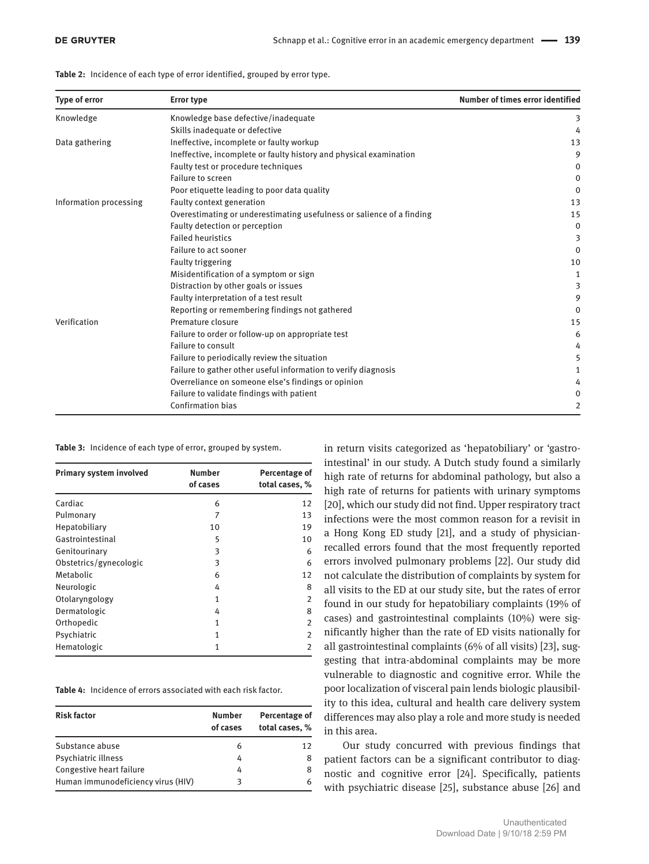**Table 2:** Incidence of each type of error identified, grouped by error type.

| <b>Type of error</b>   | <b>Error type</b>                                                     | Number of times error identified |
|------------------------|-----------------------------------------------------------------------|----------------------------------|
| Knowledge              | Knowledge base defective/inadequate                                   | 3                                |
|                        | Skills inadequate or defective                                        | 4                                |
| Data gathering         | Ineffective, incomplete or faulty workup                              | 13                               |
|                        | Ineffective, incomplete or faulty history and physical examination    | 9                                |
|                        | Faulty test or procedure techniques                                   | 0                                |
|                        | Failure to screen                                                     | 0                                |
|                        | Poor etiquette leading to poor data quality                           | 0                                |
| Information processing | Faulty context generation                                             | 13                               |
|                        | Overestimating or underestimating usefulness or salience of a finding | 15                               |
|                        | Faulty detection or perception                                        | $\mathbf 0$                      |
|                        | <b>Failed heuristics</b>                                              | 3                                |
|                        | Failure to act sooner                                                 | $\Omega$                         |
|                        | <b>Faulty triggering</b>                                              | 10                               |
|                        | Misidentification of a symptom or sign                                | 1                                |
|                        | Distraction by other goals or issues                                  | 3                                |
|                        | Faulty interpretation of a test result                                | 9                                |
|                        | Reporting or remembering findings not gathered                        | $\Omega$                         |
| Verification           | Premature closure                                                     | 15                               |
|                        | Failure to order or follow-up on appropriate test                     | 6                                |
|                        | Failure to consult                                                    | 4                                |
|                        | Failure to periodically review the situation                          | 5                                |
|                        | Failure to gather other useful information to verify diagnosis        |                                  |
|                        | Overreliance on someone else's findings or opinion                    | 4                                |
|                        | Failure to validate findings with patient                             | 0                                |
|                        | <b>Confirmation bias</b>                                              | 2                                |

**Table 3:** Incidence of each type of error, grouped by system.

| Primary system involved | <b>Number</b><br>of cases | Percentage of<br>total cases, % |
|-------------------------|---------------------------|---------------------------------|
| Cardiac                 | 6                         | 12                              |
| Pulmonary               | 7                         | 13                              |
| Hepatobiliary           | 10                        | 19                              |
| Gastrointestinal        | 5                         | 10                              |
| Genitourinary           | 3                         | 6                               |
| Obstetrics/gynecologic  | 3                         | 6                               |
| Metabolic               | 6                         | 12                              |
| Neurologic              | 4                         | 8                               |
| Otolaryngology          | 1                         | $\overline{2}$                  |
| Dermatologic            | 4                         | 8                               |
| Orthopedic              | 1                         | $\overline{2}$                  |
| Psychiatric             | 1                         | $\overline{2}$                  |
| Hematologic             | 1                         | $\overline{2}$                  |

**Table 4:** Incidence of errors associated with each risk factor.

| <b>Risk factor</b>                 | <b>Number</b><br>of cases | Percentage of<br>total cases, % |
|------------------------------------|---------------------------|---------------------------------|
| Substance abuse                    | 6                         | 12                              |
| Psychiatric illness                | 4                         | 8                               |
| Congestive heart failure           | 4                         |                                 |
| Human immunodeficiency virus (HIV) |                           |                                 |

in return visits categorized as 'hepatobiliary' or 'gastrointestinal' in our study. A Dutch study found a similarly high rate of returns for abdominal pathology, but also a high rate of returns for patients with urinary symptoms [20], which our study did not find. Upper respiratory tract infections were the most common reason for a revisit in a Hong Kong ED study [21], and a study of physicianrecalled errors found that the most frequently reported errors involved pulmonary problems [22]. Our study did not calculate the distribution of complaints by system for all visits to the ED at our study site, but the rates of error found in our study for hepatobiliary complaints (19% of cases) and gastrointestinal complaints (10%) were significantly higher than the rate of ED visits nationally for all gastrointestinal complaints (6% of all visits) [23], suggesting that intra-abdominal complaints may be more vulnerable to diagnostic and cognitive error. While the poor localization of visceral pain lends biologic plausibility to this idea, cultural and health care delivery system differences may also play a role and more study is needed in this area.

Our study concurred with previous findings that patient factors can be a significant contributor to diagnostic and cognitive error [24]. Specifically, patients with psychiatric disease [25], substance abuse [26] and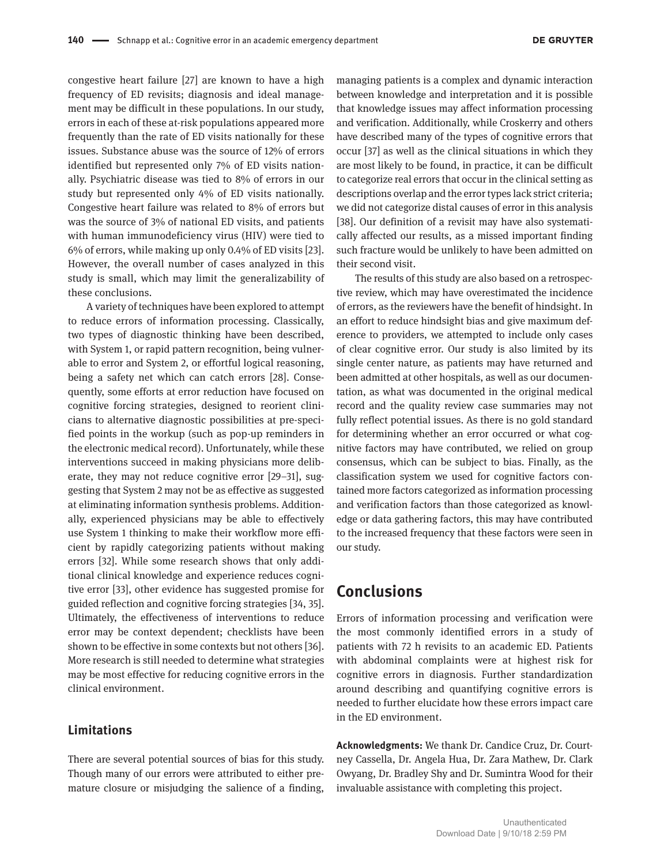congestive heart failure [27] are known to have a high frequency of ED revisits; diagnosis and ideal management may be difficult in these populations. In our study, errors in each of these at-risk populations appeared more frequently than the rate of ED visits nationally for these issues. Substance abuse was the source of 12% of errors identified but represented only 7% of ED visits nationally. Psychiatric disease was tied to 8% of errors in our study but represented only 4% of ED visits nationally. Congestive heart failure was related to 8% of errors but was the source of 3% of national ED visits, and patients with human immunodeficiency virus (HIV) were tied to 6% of errors, while making up only 0.4% of ED visits [23]. However, the overall number of cases analyzed in this study is small, which may limit the generalizability of these conclusions.

A variety of techniques have been explored to attempt to reduce errors of information processing. Classically, two types of diagnostic thinking have been described, with System 1, or rapid pattern recognition, being vulnerable to error and System 2, or effortful logical reasoning, being a safety net which can catch errors [28]. Consequently, some efforts at error reduction have focused on cognitive forcing strategies, designed to reorient clinicians to alternative diagnostic possibilities at pre-specified points in the workup (such as pop-up reminders in the electronic medical record). Unfortunately, while these interventions succeed in making physicians more deliberate, they may not reduce cognitive error [29–31], suggesting that System 2 may not be as effective as suggested at eliminating information synthesis problems. Additionally, experienced physicians may be able to effectively use System 1 thinking to make their workflow more efficient by rapidly categorizing patients without making errors [32]. While some research shows that only additional clinical knowledge and experience reduces cognitive error [33], other evidence has suggested promise for guided reflection and cognitive forcing strategies [34, 35]. Ultimately, the effectiveness of interventions to reduce error may be context dependent; checklists have been shown to be effective in some contexts but not others [36]. More research is still needed to determine what strategies may be most effective for reducing cognitive errors in the clinical environment.

#### **Limitations**

There are several potential sources of bias for this study. Though many of our errors were attributed to either premature closure or misjudging the salience of a finding, managing patients is a complex and dynamic interaction between knowledge and interpretation and it is possible that knowledge issues may affect information processing and verification. Additionally, while Croskerry and others have described many of the types of cognitive errors that occur [37] as well as the clinical situations in which they are most likely to be found, in practice, it can be difficult to categorize real errors that occur in the clinical setting as descriptions overlap and the error types lack strict criteria; we did not categorize distal causes of error in this analysis [38]. Our definition of a revisit may have also systematically affected our results, as a missed important finding such fracture would be unlikely to have been admitted on their second visit.

The results of this study are also based on a retrospective review, which may have overestimated the incidence of errors, as the reviewers have the benefit of hindsight. In an effort to reduce hindsight bias and give maximum deference to providers, we attempted to include only cases of clear cognitive error. Our study is also limited by its single center nature, as patients may have returned and been admitted at other hospitals, as well as our documentation, as what was documented in the original medical record and the quality review case summaries may not fully reflect potential issues. As there is no gold standard for determining whether an error occurred or what cognitive factors may have contributed, we relied on group consensus, which can be subject to bias. Finally, as the classification system we used for cognitive factors contained more factors categorized as information processing and verification factors than those categorized as knowledge or data gathering factors, this may have contributed to the increased frequency that these factors were seen in our study.

### **Conclusions**

Errors of information processing and verification were the most commonly identified errors in a study of patients with 72 h revisits to an academic ED. Patients with abdominal complaints were at highest risk for cognitive errors in diagnosis. Further standardization around describing and quantifying cognitive errors is needed to further elucidate how these errors impact care in the ED environment.

**Acknowledgments:** We thank Dr. Candice Cruz, Dr. Courtney Cassella, Dr. Angela Hua, Dr. Zara Mathew, Dr. Clark Owyang, Dr. Bradley Shy and Dr. Sumintra Wood for their invaluable assistance with completing this project.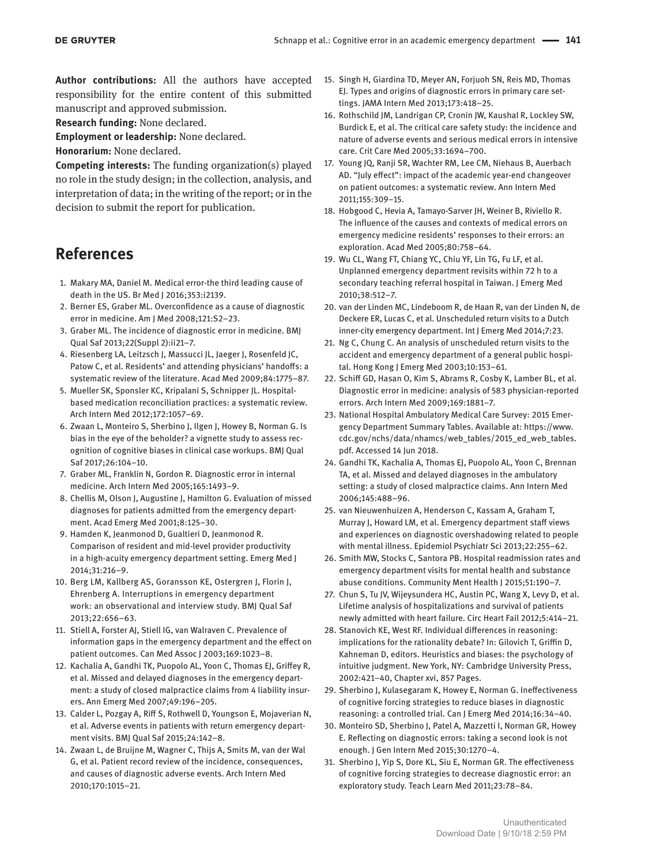**Author contributions:** All the authors have accepted responsibility for the entire content of this submitted manuscript and approved submission.

**Research funding:** None declared.

**Employment or leadership:** None declared.

**Honorarium:** None declared.

**Competing interests:** The funding organization(s) played no role in the study design; in the collection, analysis, and interpretation of data; in the writing of the report; or in the decision to submit the report for publication.

### **References**

- 1. Makary MA, Daniel M. Medical error-the third leading cause of death in the US. Br Med J 2016;353:i2139.
- 2. Berner ES, Graber ML. Overconfidence as a cause of diagnostic error in medicine. Am J Med 2008;121:S2–23.
- 3. Graber ML. The incidence of diagnostic error in medicine. BMJ Qual Saf 2013;22(Suppl 2):ii21–7.
- 4. Riesenberg LA, Leitzsch J, Massucci JL, Jaeger J, Rosenfeld JC, Patow C, et al. Residents' and attending physicians' handoffs: a systematic review of the literature. Acad Med 2009;84:1775–87.
- 5. Mueller SK, Sponsler KC, Kripalani S, Schnipper JL. Hospitalbased medication reconciliation practices: a systematic review. Arch Intern Med 2012;172:1057–69.
- 6. Zwaan L, Monteiro S, Sherbino J, Ilgen J, Howey B, Norman G. Is bias in the eye of the beholder? a vignette study to assess recognition of cognitive biases in clinical case workups. BMJ Qual Saf 2017;26:104–10.
- 7. Graber ML, Franklin N, Gordon R. Diagnostic error in internal medicine. Arch Intern Med 2005;165:1493–9.
- 8. Chellis M, Olson J, Augustine J, Hamilton G. Evaluation of missed diagnoses for patients admitted from the emergency department. Acad Emerg Med 2001;8:125–30.
- 9. Hamden K, Jeanmonod D, Gualtieri D, Jeanmonod R. Comparison of resident and mid-level provider productivity in a high-acuity emergency department setting. Emerg Med J 2014;31:216–9.
- 10. Berg LM, Kallberg AS, Goransson KE, Ostergren J, Florin J, Ehrenberg A. Interruptions in emergency department work: an observational and interview study. BMJ Qual Saf 2013;22:656–63.
- 11. Stiell A, Forster AJ, Stiell IG, van Walraven C. Prevalence of information gaps in the emergency department and the effect on patient outcomes. Can Med Assoc J 2003;169:1023–8.
- 12. Kachalia A, Gandhi TK, Puopolo AL, Yoon C, Thomas EJ, Griffey R, et al. Missed and delayed diagnoses in the emergency department: a study of closed malpractice claims from 4 liability insurers. Ann Emerg Med 2007;49:196–205.
- 13. Calder L, Pozgay A, Riff S, Rothwell D, Youngson E, Mojaverian N, et al. Adverse events in patients with return emergency department visits. BMJ Qual Saf 2015;24:142–8.
- 14. Zwaan L, de Bruijne M, Wagner C, Thijs A, Smits M, van der Wal G, et al. Patient record review of the incidence, consequences, and causes of diagnostic adverse events. Arch Intern Med 2010;170:1015–21.
- 15. Singh H, Giardina TD, Meyer AN, Forjuoh SN, Reis MD, Thomas EJ. Types and origins of diagnostic errors in primary care settings. JAMA Intern Med 2013;173:418–25.
- 16. Rothschild JM, Landrigan CP, Cronin JW, Kaushal R, Lockley SW, Burdick E, et al. The critical care safety study: the incidence and nature of adverse events and serious medical errors in intensive care. Crit Care Med 2005;33:1694–700.
- 17. Young JQ, Ranji SR, Wachter RM, Lee CM, Niehaus B, Auerbach AD. "July effect": impact of the academic year-end changeover on patient outcomes: a systematic review. Ann Intern Med 2011;155:309–15.
- 18. Hobgood C, Hevia A, Tamayo-Sarver JH, Weiner B, Riviello R. The influence of the causes and contexts of medical errors on emergency medicine residents' responses to their errors: an exploration. Acad Med 2005;80:758–64.
- 19. Wu CL, Wang FT, Chiang YC, Chiu YF, Lin TG, Fu LF, et al. Unplanned emergency department revisits within 72 h to a secondary teaching referral hospital in Taiwan. J Emerg Med 2010;38:512–7.
- 20. van der Linden MC, Lindeboom R, de Haan R, van der Linden N, de Deckere ER, Lucas C, et al. Unscheduled return visits to a Dutch inner-city emergency department. Int J Emerg Med 2014;7:23.
- 21. Ng C, Chung C. An analysis of unscheduled return visits to the accident and emergency department of a general public hospital. Hong Kong J Emerg Med 2003;10:153–61.
- 22. Schiff GD, Hasan O, Kim S, Abrams R, Cosby K, Lamber BL, et al. Diagnostic error in medicine: analysis of 583 physician-reported errors. Arch Intern Med 2009;169:1881–7.
- 23. National Hospital Ambulatory Medical Care Survey: 2015 Emergency Department Summary Tables. Available at: https://www. cdc.gov/nchs/data/nhamcs/web\_tables/2015\_ed\_web\_tables. pdf. Accessed 14 Jun 2018.
- 24. Gandhi TK, Kachalia A, Thomas EJ, Puopolo AL, Yoon C, Brennan TA, et al. Missed and delayed diagnoses in the ambulatory setting: a study of closed malpractice claims. Ann Intern Med 2006;145:488–96.
- 25. van Nieuwenhuizen A, Henderson C, Kassam A, Graham T, Murray J, Howard LM, et al. Emergency department staff views and experiences on diagnostic overshadowing related to people with mental illness. Epidemiol Psychiatr Sci 2013;22:255–62.
- 26. Smith MW, Stocks C, Santora PB. Hospital readmission rates and emergency department visits for mental health and substance abuse conditions. Community Ment Health J 2015;51:190–7.
- 27. Chun S, Tu JV, Wijeysundera HC, Austin PC, Wang X, Levy D, et al. Lifetime analysis of hospitalizations and survival of patients newly admitted with heart failure. Circ Heart Fail 2012;5:414–21.
- 28. Stanovich KE, West RF. Individual differences in reasoning: implications for the rationality debate? In: Gilovich T, Griffin D, Kahneman D, editors. Heuristics and biases: the psychology of intuitive judgment. New York, NY: Cambridge University Press, 2002:421–40, Chapter xvi, 857 Pages.
- 29. Sherbino J, Kulasegaram K, Howey E, Norman G. Ineffectiveness of cognitive forcing strategies to reduce biases in diagnostic reasoning: a controlled trial. Can J Emerg Med 2014;16:34–40.
- 30. Monteiro SD, Sherbino J, Patel A, Mazzetti I, Norman GR, Howey E. Reflecting on diagnostic errors: taking a second look is not enough. J Gen Intern Med 2015;30:1270–4.
- 31. Sherbino J, Yip S, Dore KL, Siu E, Norman GR. The effectiveness of cognitive forcing strategies to decrease diagnostic error: an exploratory study. Teach Learn Med 2011;23:78–84.